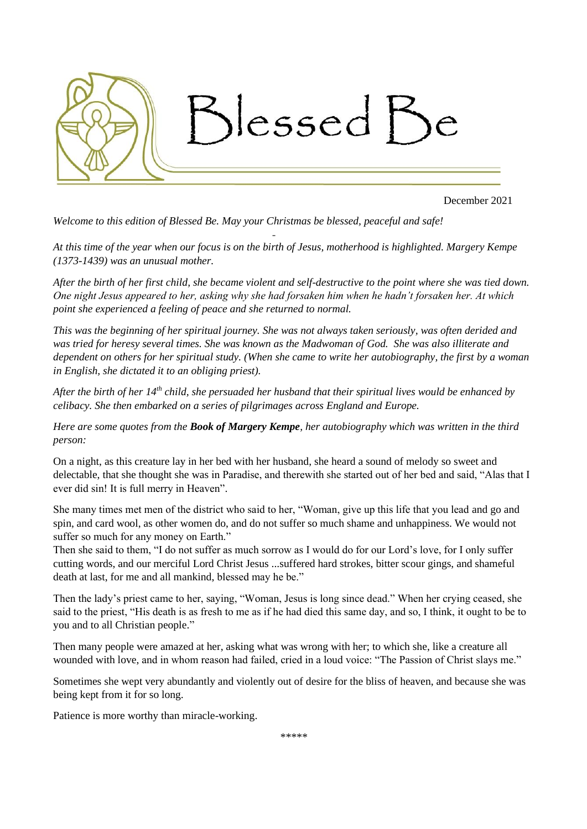

December 2021

*Welcome to this edition of Blessed Be. May your Christmas be blessed, peaceful and safe!*

*At this time of the year when our focus is on the birth of Jesus, motherhood is highlighted. Margery Kempe (1373-1439) was an unusual mother.* 

-

*After the birth of her first child, she became violent and self-destructive to the point where she was tied down. One night Jesus appeared to her, asking why she had forsaken him when he hadn't forsaken her. At which point she experienced a feeling of peace and she returned to normal.*

*This was the beginning of her spiritual journey. She was not always taken seriously, was often derided and was tried for heresy several times. She was known as the Madwoman of God. She was also illiterate and dependent on others for her spiritual study. (When she came to write her autobiography, the first by a woman in English, she dictated it to an obliging priest).* 

*After the birth of her 14th child, she persuaded her husband that their spiritual lives would be enhanced by celibacy. She then embarked on a series of pilgrimages across England and Europe.*

*Here are some quotes from the Book of Margery Kempe, her autobiography which was written in the third person:*

On a night, as this creature lay in her bed with her husband, she heard a sound of melody so sweet and delectable, that she thought she was in Paradise, and therewith she started out of her bed and said, "Alas that I ever did sin! It is full merry in Heaven".

She many times met men of the district who said to her, "Woman, give up this life that you lead and go and spin, and card wool, as other women do, and do not suffer so much shame and unhappiness. We would not suffer so much for any money on Earth."

Then she said to them, "I do not suffer as much sorrow as I would do for our Lord's love, for I only suffer cutting words, and our merciful Lord Christ Jesus ...suffered hard strokes, bitter scour gings, and shameful death at last, for me and all mankind, blessed may he be."

Then the lady's priest came to her, saying, "Woman, Jesus is long since dead." When her crying ceased, she said to the priest, "His death is as fresh to me as if he had died this same day, and so, I think, it ought to be to you and to all Christian people."

Then many people were amazed at her, asking what was wrong with her; to which she, like a creature all wounded with love, and in whom reason had failed, cried in a loud voice: "The Passion of Christ slays me."

Sometimes she wept very abundantly and violently out of desire for the bliss of heaven, and because she was being kept from it for so long.

Patience is more worthy than miracle-working.

*\*\*\*\*\**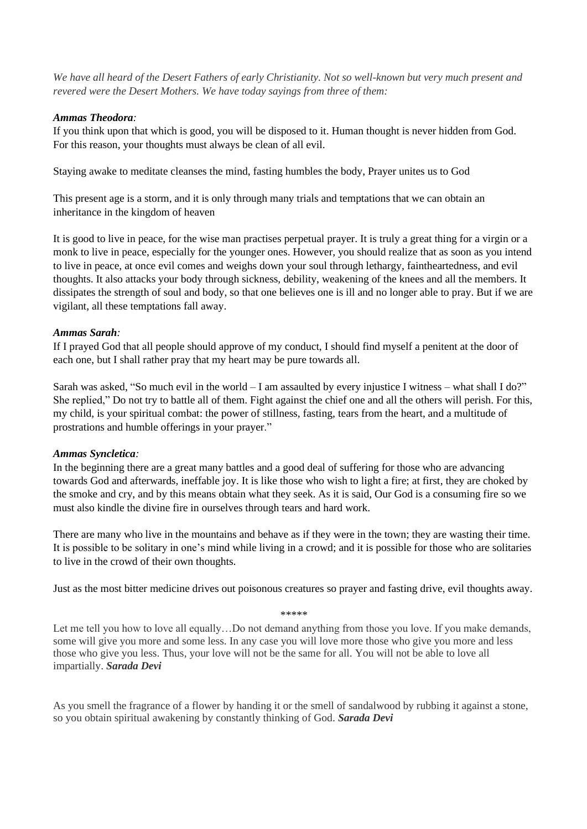*We have all heard of the Desert Fathers of early Christianity. Not so well-known but very much present and revered were the Desert Mothers. We have today sayings from three of them:*

# *Ammas Theodora:*

If you think upon that which is good, you will be disposed to it. Human thought is never hidden from God. For this reason, your thoughts must always be clean of all evil.

Staying awake to meditate cleanses the mind, fasting humbles the body, Prayer unites us to God

This present age is a storm, and it is only through many trials and temptations that we can obtain an inheritance in the kingdom of heaven

It is good to live in peace, for the wise man practises perpetual prayer. It is truly a great thing for a virgin or a monk to live in peace, especially for the younger ones. However, you should realize that as soon as you intend to live in peace, at once evil comes and weighs down your soul through lethargy, faintheartedness, and evil thoughts. It also attacks your body through sickness, debility, weakening of the knees and all the members. It dissipates the strength of soul and body, so that one believes one is ill and no longer able to pray. But if we are vigilant, all these temptations fall away.

# *Ammas Sarah:*

If I prayed God that all people should approve of my conduct, I should find myself a penitent at the door of each one, but I shall rather pray that my heart may be pure towards all.

Sarah was asked, "So much evil in the world – I am assaulted by every injustice I witness – what shall I do?" She replied," Do not try to battle all of them. Fight against the chief one and all the others will perish. For this, my child, is your spiritual combat: the power of stillness, fasting, tears from the heart, and a multitude of prostrations and humble offerings in your prayer."

## *Ammas Syncletica:*

In the beginning there are a great many battles and a good deal of suffering for those who are advancing towards God and afterwards, ineffable joy. It is like those who wish to light a fire; at first, they are choked by the smoke and cry, and by this means obtain what they seek. As it is said, Our God is a consuming fire so we must also kindle the divine fire in ourselves through tears and hard work.

There are many who live in the mountains and behave as if they were in the town; they are wasting their time. It is possible to be solitary in one's mind while living in a crowd; and it is possible for those who are solitaries to live in the crowd of their own thoughts.

Just as the most bitter medicine drives out poisonous creatures so prayer and fasting drive, evil thoughts away.

```
*****
```
Let me tell you how to love all equally...Do not demand anything from those you love. If you make demands, some will give you more and some less. In any case you will love more those who give you more and less those who give you less. Thus, your love will not be the same for all. You will not be able to love all impartially. *Sarada Devi*

As you smell the fragrance of a flower by handing it or the smell of sandalwood by rubbing it against a stone, so you obtain spiritual awakening by constantly thinking of God. *Sarada Devi*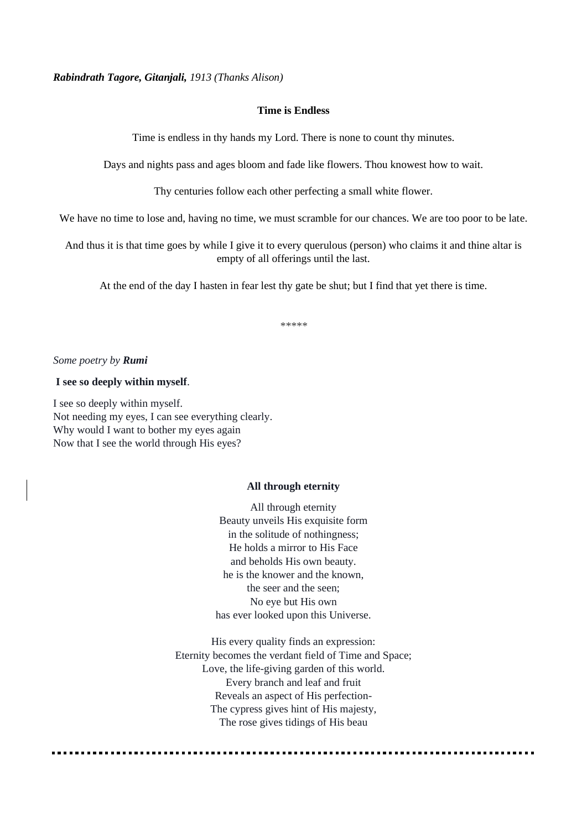*Rabindrath Tagore, Gitanjali, 1913 (Thanks Alison)*

#### **Time is Endless**

Time is endless in thy hands my Lord. There is none to count thy minutes.

Days and nights pass and ages bloom and fade like flowers. Thou knowest how to wait.

Thy centuries follow each other perfecting a small white flower.

We have no time to lose and, having no time, we must scramble for our chances. We are too poor to be late.

And thus it is that time goes by while I give it to every querulous (person) who claims it and thine altar is empty of all offerings until the last.

At the end of the day I hasten in fear lest thy gate be shut; but I find that yet there is time.

*\*\*\*\*\**

#### *Some poetry by Rumi*

## **I see so deeply within myself**.

I see so deeply within myself. Not needing my eyes, I can see everything clearly. Why would I want to bother my eyes again Now that I see the world through His eyes?

#### **All through eternity**

All through eternity Beauty unveils His exquisite form in the solitude of nothingness; He holds a mirror to His Face and beholds His own beauty. he is the knower and the known, the seer and the seen; No eye but His own has ever looked upon this Universe.

His every quality finds an expression: Eternity becomes the verdant field of Time and Space; Love, the life-giving garden of this world. Every branch and leaf and fruit Reveals an aspect of His perfection-The cypress gives hint of His majesty, The rose gives tidings of His beau